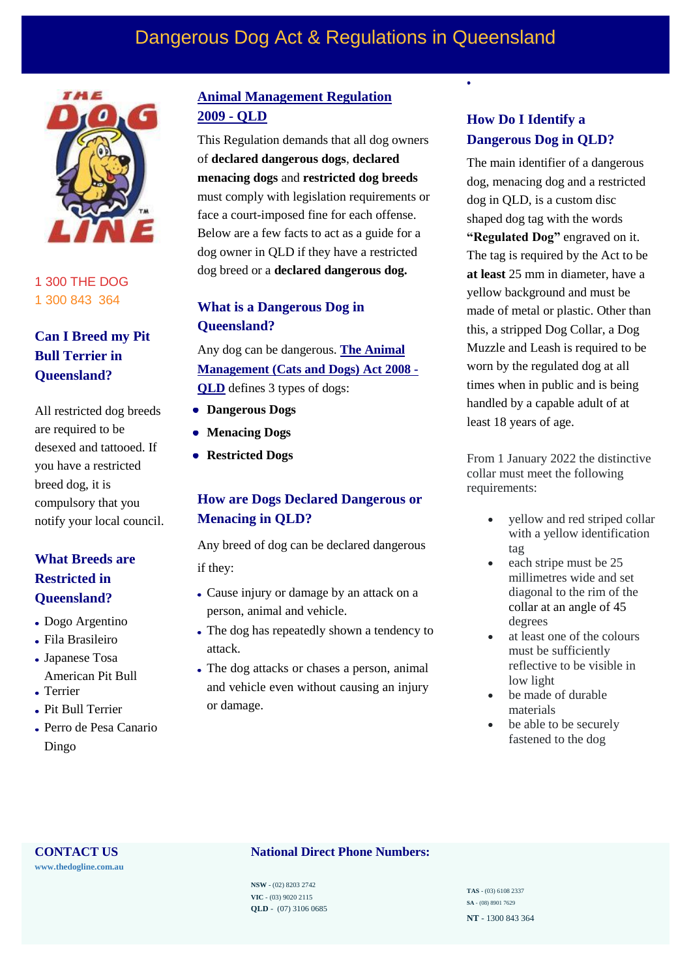# Dangerous Dog Act & Regulations in Queensland



1 300 THE DOG 1 300 843 364

## **Can I Breed my Pit Bull Terrier in Queensland?**

All restricted dog breeds are required to be desexed and tattooed. If you have a restricted breed dog, it is compulsory that you notify your local council.

## **What Breeds are Restricted in Queensland?**

- Dogo Argentino
- Fila Brasileiro
- Japanese Tosa American Pit Bull
- Terrier
- Pit Bull Terrier
- Perro de Pesa Canario Dingo

## **[Animal Management Regulation](https://www.qld.gov.au/families/government/pets/regulated-dogs) [2009 -](http://classic.austlii.edu.au/au/legis/qld/consol_reg/amadr2009335/) QLD**

This Regulation demands that all dog owners of **declared dangerous dogs**, **declared menacing dogs** and **restricted dog breeds**  must comply with legislation requirements or face a court-imposed fine for each offense. Below are a few facts to act as a guide for a dog owner in QLD if they have a restricted dog breed or a **declared dangerous dog.**

## **What is a Dangerous Dog in Queensland?**

[Any dog can be dangerous.](http://classic.austlii.edu.au/au/legis/qld/consol_act/amada2008244/) **The Animal [Management \(Cats and Dogs\) Act 2008 -](https://www.legislation.qld.gov.au/view/html/asmade/act-2008-074#act-2008-074) QLD** [defines 3 types of dogs:](http://classic.austlii.edu.au/au/legis/qld/consol_act/amada2008244/)

- **Dangerous Dogs**
- **Menacing Dogs**
- **Restricted Dogs**

## **How are Dogs Declared Dangerous or Menacing in QLD?**

Any breed of dog can be declared dangerous if they:

- Cause injury or damage by an attack on a person, animal and vehicle.
- The dog has repeatedly shown a tendency to attack.
- The dog attacks or chases a person, animal and vehicle even without causing an injury or damage.

## **How Do I Identify a Dangerous Dog in QLD?**

 $\bullet$ 

The main identifier of a dangerous dog, menacing dog and a restricted dog in QLD, is a custom disc shaped dog tag with the words **"Regulated Dog"** engraved on it. The tag is required by the Act to be **at least** 25 mm in diameter, have a yellow background and must be made of metal or plastic. Other than this, a stripped Dog Collar, a Dog Muzzle and Leash is required to be worn by the regulated dog at all times when in public and is being handled by a capable adult of at least 18 years of age.

From 1 January 2022 the distinctive collar must meet the following requirements:

- yellow and red striped collar with a yellow identification tag
- each stripe must be 25 millimetres wide and set diagonal to the rim of the collar at an angle of 45 degrees
- at least one of the colours must be sufficiently reflective to be visible in low light
- be made of durable materials
- be able to be securely fastened to the dog

**[www.thedogline.com.au](https://www.thedogline.com.au/)**

## **CONTACT US National Direct Phone Numbers:**

**NSW** - (02) 8203 2742 **VIC** - (03) 9020 2115 **QLD** - (07) 3106 0685

**TAS** - (03) 6108 2337 **SA** - (08) 8901 7629 **NT** - 1300 843 364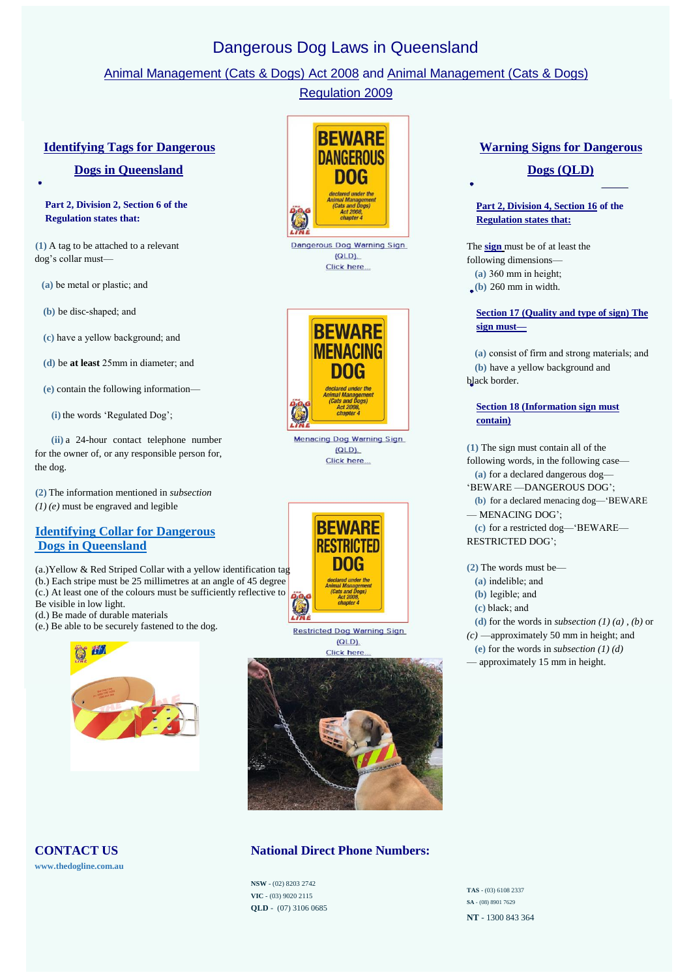## Dangerous Dog Laws in Queensland

## [Animal Management \(Cats & Dogs\) A](https://www.legislation.qld.gov.au/view/html/asmade/act-2008-074)ct 2008 and [Animal Management \(Cats & Dogs\)](https://www.legislation.qld.gov.au/view/html/asmade/act-2008-074)

## [Regulation 2009](http://classic.austlii.edu.au/au/legis/qld/consol_reg/amadr2009335/)

#### **[Identifying Tags for Dangerous](http://classic.austlii.edu.au/au/legis/qld/consol_reg/amadr2009335/s6.html)**

#### **[Dogs in Queensland](http://classic.austlii.edu.au/au/legis/qld/consol_reg/amadr2009335/s6.html)**

#### **Part 2, Division 2, Section 6 of the Regulation states that:**

**(1)** A tag to be attached to a relevant dog's collar must—

**(a)** be metal or plastic; and

**(b)** be disc-shaped; and

**(c)** have a yellow background; and

**(d)** be **at least** 25mm in diameter; and

**(e)** contain the following information—

**(i)** the words 'Regulated Dog';

**(ii)** a 24-hour contact telephone number for the owner of, or any responsible person for, the dog.

**(2)** The information mentioned in *subsection (1) (e)* must be engraved and legible

## **Identifying Collar [for Dangerous](https://www.thedogline.com.au/dangerous-dogs/collars1)  [Dogs in Queensland](https://www.thedogline.com.au/dangerous-dogs/collars1)**

(a.)Yellow & Red Striped Collar with a yellow identification tag (b.) Each stripe must be 25 millimetres at an angle of 45 degree (c.) At least one of the colours must be sufficiently reflective to Be visible in low light.

(d.) Be made of durable materials

(e.) Be able to be securely fastened to the dog.



**BEWARE DANGEROUS** DOG Dangerous Dog Warning Sign  $(QLD)$ .

Click here...



**Menacing Dog Warning Sign**  $(QLD)$ . Click here.



**Restricted Dog Warning Sign**  $(QLD)$ 



## **CONTACT US National Direct Phone Numbers:**

**NSW** - (02) 8203 2742 **VIC** - (03) 9020 2115 **QLD** - (07) 3106 0685

# **[Warning Signs for Dangerous](http://classic.austlii.edu.au/au/legis/qld/consol_reg/amadr2009335/s15.html)**

## **[Dogs \(QLD\)](http://classic.austlii.edu.au/au/legis/qld/consol_reg/amadr2009335/s15.html)**

#### **[Part 2, Division 4, Section 16](http://classic.austlii.edu.au/au/legis/qld/consol_reg/amadr2009335/s16.html) of the [Regulation states that:](http://classic.austlii.edu.au/au/legis/qld/consol_reg/amadr2009335/s16.html)**

The **[sign](https://www.thedogline.com.au/buy/dangerous-dog-sign-qld)** must be of at least the following dimensions— **(a)** 360 mm in height;

**(b)** 260 mm in width.

## **[Section 17 \(](http://classic.austlii.edu.au/au/legis/qld/consol_reg/amadr2009335/s17.html)Quality and type of sign) The [sign must—](http://classic.austlii.edu.au/au/legis/qld/consol_reg/amadr2009335/s17.html)**

**(a)** consist of firm and strong materials; and **(b)** have a yellow background and black border.

#### **[Section 18 \(Information sign must](http://classic.austlii.edu.au/au/legis/qld/consol_reg/amadr2009335/s18.html) [contain\)](http://classic.austlii.edu.au/au/legis/qld/consol_reg/amadr2009335/s18.html)**

**(1)** The sign must contain all of the following words, in the following case— **(a)** for a declared dangerous dog— 'BEWARE —DANGEROUS DOG'; **(b)** for a declared menacing dog—'BEWARE — MENACING DOG'; **(c)** for a restricted dog—'BEWARE— RESTRICTED DOG';

**(2)** The words must be—

- **(a)** indelible; and
- **(b)** legible; and
- **(c)** black; and

**(d)** for the words in *subsection (1) (a)* , *(b)* or

*(c)* —approximately 50 mm in height; and

**(e)** for the words in *subsection (1) (d)*

— approximately 15 mm in height.

**[www.thedogline.com.au](https://www.thedogline.com.au/)**

**TAS** - (03) 6108 2337 **SA** - (08) 8901 7629 **NT** - 1300 843 364